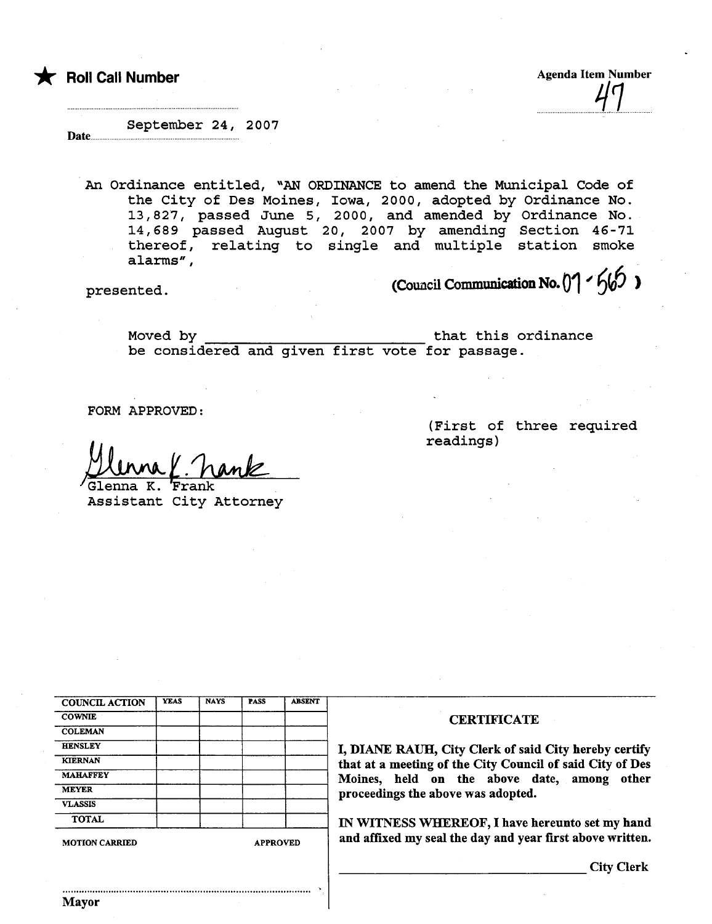\* Roll Call Number

**Agenda Item Number**  $\overline{q}_l$ 

September 24, 2007 Date...

An Ordinance entitled, "AN ORDINANCE to amend the Municipal Code of the City of Des Moines, Iowa, 2000, adopted by Ordinance No. 13, 827, passed June 5, 2000, and amended by Ordinance No. 14,689 passed August 20, 2007 by amending Section 46-71 thereof, relating to single and multiple station smoke alarms" ,

 $p$ resented. (Council Communication No. 01  $\frac{6}{9}$ )

Moved by that this ordinance be considered and given first vote for passage.

FORM APPROVED:

<u>Mlunna Y. namk</u>

Assistant City Attorney

(First of three required readings)

| <b>COUNCIL ACTION</b> | <b>YEAS</b> | <b>NAYS</b> | <b>PASS</b>     | <b>ABSENT</b> |
|-----------------------|-------------|-------------|-----------------|---------------|
| <b>COWNIE</b>         |             |             |                 |               |
| <b>COLEMAN</b>        |             |             |                 |               |
| <b>HENSLEY</b>        |             |             |                 |               |
| <b>KIERNAN</b>        |             |             |                 |               |
| <b>MAHAFFEY</b>       |             |             |                 |               |
| <b>MEYER</b>          |             |             |                 |               |
| <b>VLASSIS</b>        |             |             |                 |               |
| <b>TOTAL</b>          |             |             |                 |               |
| <b>MOTION CARRIED</b> |             |             | <b>APPROVED</b> |               |

'..

## **CERTIFICATE**

I, DIANE RAUH, City Clerk of said City hereby certify that at a meeting of the City Council of said City of Des Moines, held on the above date, among other proceedings the above was adopted.

IN WITNESS WHEREOF, I have hereunto set my hand and affixed my seal the day and year first above written.

City Clerk

..........................................................................................